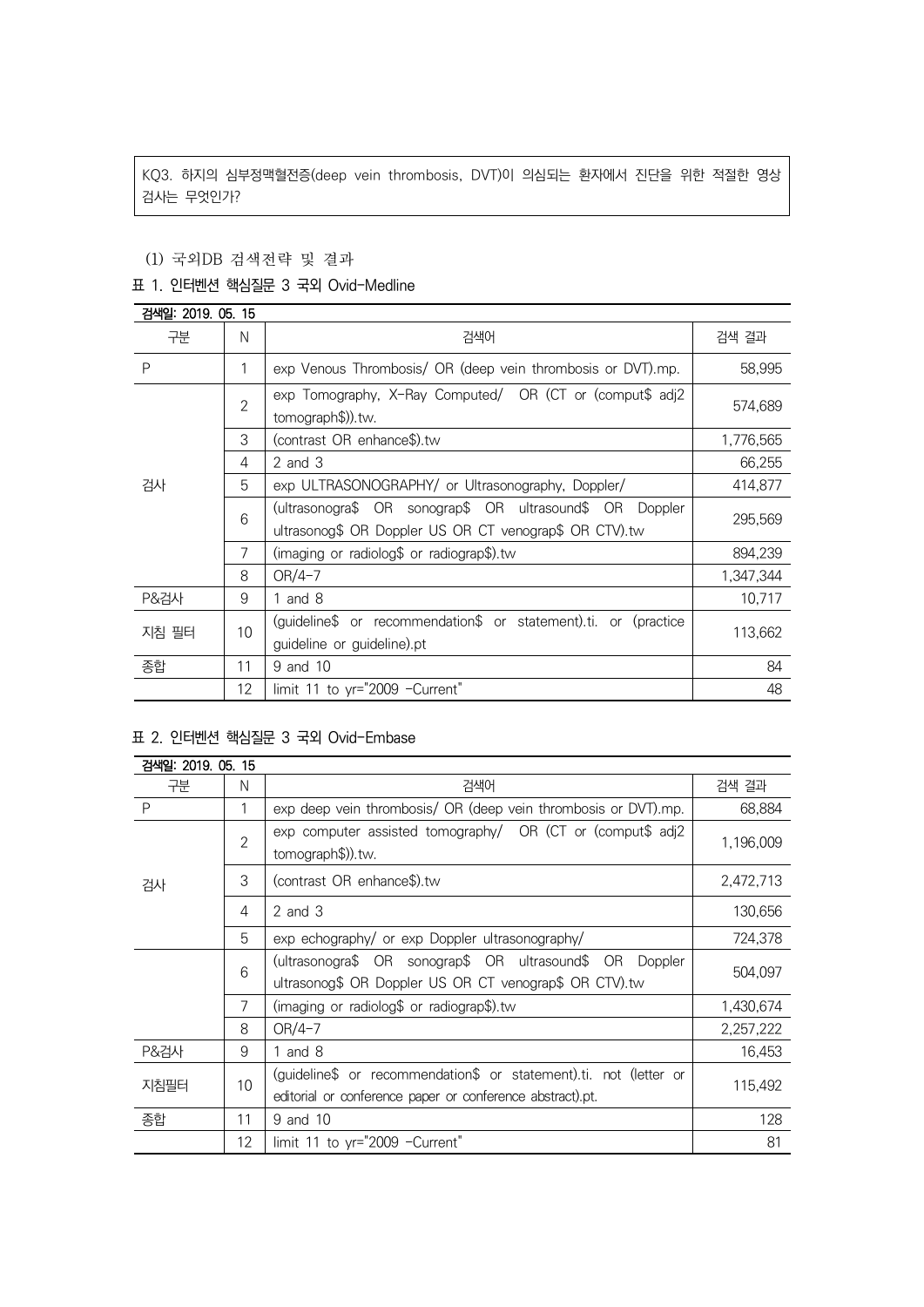KQ3. 하지의 심부정맥혈전증(deep vein thrombosis, DVT)이 의심되는 환자에서 진단을 위한 적절한 영상 검사는 무엇인가?

## (1) 국외DB 검색전략 및 결과

### 표 1. 인터벤션 핵심질문 3 국외 Ovid-Medline

| 검색일: 2019. 05. 15 |                |                                                                                                                       |           |  |
|-------------------|----------------|-----------------------------------------------------------------------------------------------------------------------|-----------|--|
| 구분                | N              | 검색어                                                                                                                   | 검색 결과     |  |
| P                 | 1              | exp Venous Thrombosis/ OR (deep vein thrombosis or DVT).mp.                                                           | 58,995    |  |
| 검사                | $\mathfrak{D}$ | exp Tomography, X-Ray Computed/ OR (CT or (comput\$ adj2<br>tomograph\$)).tw.                                         | 574,689   |  |
|                   | 3              | (contrast OR enhance\$).tw                                                                                            | 1,776,565 |  |
|                   | 4              | 2 and 3                                                                                                               | 66,255    |  |
|                   | 5              | exp ULTRASONOGRAPHY/ or Ultrasonography, Doppler/                                                                     | 414,877   |  |
|                   | 6              | (ultrasonogra\$ OR sonograp\$ OR ultrasound\$ OR<br>Doppler<br>ultrasonog\$ OR Doppler US OR CT venograp\$ OR CTV).tw | 295,569   |  |
|                   | 7              | (imaging or radiolog\$ or radiograp\$).tw                                                                             | 894,239   |  |
|                   | 8              | OR/4-7                                                                                                                | 1,347,344 |  |
| <b>P&amp;검사</b>   | 9              | 1 and $8$                                                                                                             | 10,717    |  |
| 지침 필터             | 10             | (guideline\$ or recommendation\$ or statement).ti. or (practice                                                       | 113,662   |  |
|                   |                | guideline or guideline).pt                                                                                            |           |  |
| 종합                | 11             | 9 and 10                                                                                                              | 84        |  |
|                   | 12             | limit 11 to yr="2009 -Current"                                                                                        | 48        |  |

# 표 2. 인터벤션 핵심질문 3 국외 Ovid-Embase

| 검색일: 2019, 05, 15 |                |                                                                                                                                |           |
|-------------------|----------------|--------------------------------------------------------------------------------------------------------------------------------|-----------|
| 구분                | N              | 검색어                                                                                                                            | 검색 결과     |
| P                 | 1              | exp deep vein thrombosis/ OR (deep vein thrombosis or DVT).mp.                                                                 | 68,884    |
| 검사                | $\overline{2}$ | exp computer assisted tomography/ OR (CT or (comput\$ adj2<br>tomograph\$)).tw.                                                | 1,196,009 |
|                   | 3              | (contrast OR enhance\$).tw                                                                                                     | 2,472,713 |
|                   | 4              | $2$ and $3$                                                                                                                    | 130,656   |
|                   | 5              | exp echography/ or exp Doppler ultrasonography/                                                                                | 724,378   |
|                   | 6              | (ultrasonogra\$ OR sonograp\$ OR ultrasound\$ OR<br>Doppler<br>ultrasonog\$ OR Doppler US OR CT venograp\$ OR CTV).tw          | 504,097   |
|                   | 7              | (imaging or radiolog\$ or radiograp\$).tw                                                                                      | 1,430,674 |
|                   | 8              | $OR/4-7$                                                                                                                       | 2,257,222 |
| <b>P&amp;검사</b>   | 9              | 1 and $8$                                                                                                                      | 16,453    |
| 지침필터              | 10             | (guideline\$ or recommendation\$ or statement).ti. not (letter or<br>editorial or conference paper or conference abstract).pt. | 115,492   |
| 종합                | 11             | 9 and 10                                                                                                                       | 128       |
|                   | 12             | limit 11 to yr="2009 -Current"                                                                                                 | 81        |